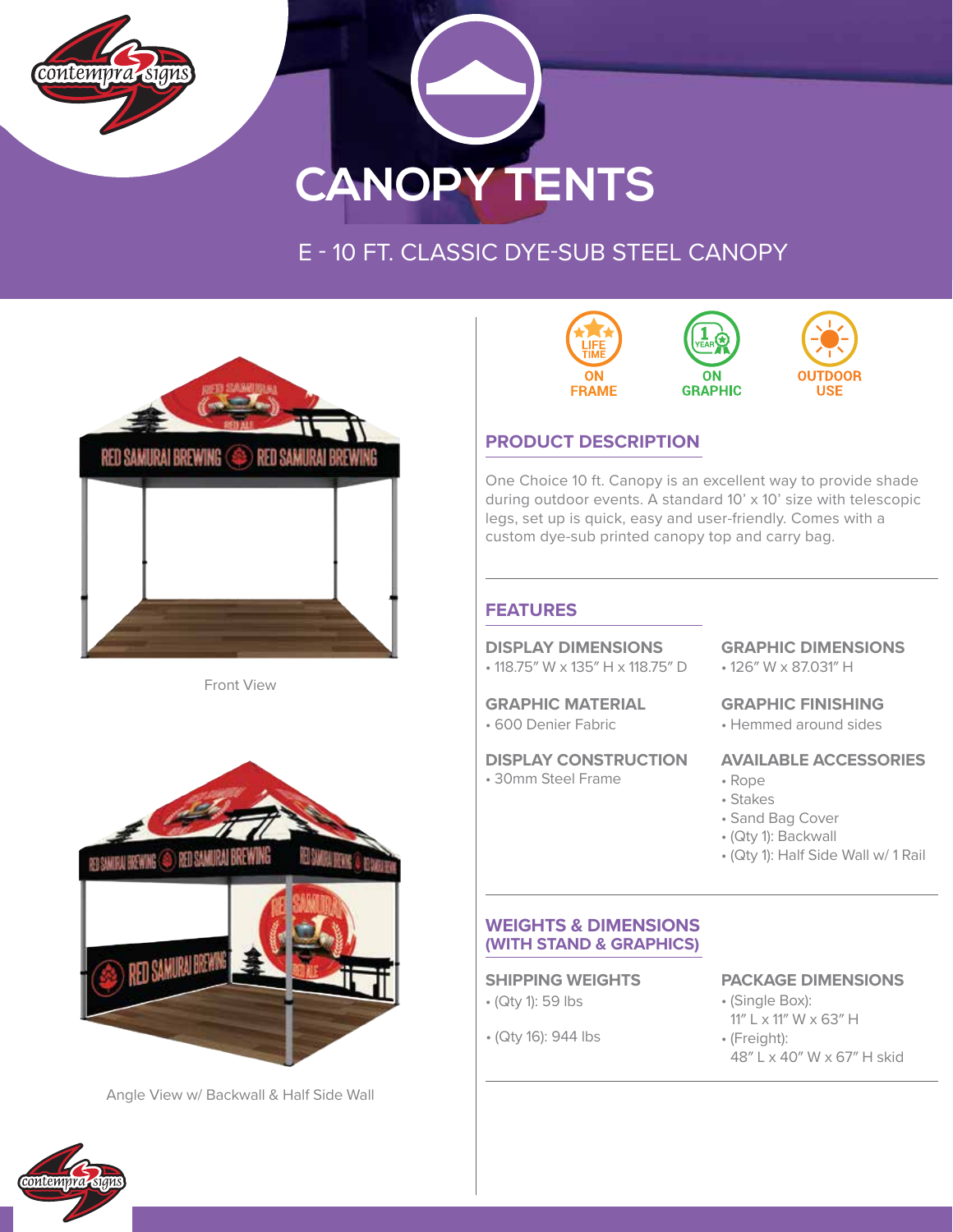



# E - 10 FT. CLASSIC DYE-SUB STEEL CANOPY



Front View



Angle View w/ Backwall & Half Side Wall



# **PRODUCT DESCRIPTION**

One Choice 10 ft. Canopy is an excellent way to provide shade during outdoor events. A standard 10' x 10' size with telescopic legs, set up is quick, easy and user-friendly. Comes with a custom dye-sub printed canopy top and carry bag.

## **FEATURES**

#### **DISPLAY DIMENSIONS**

• 118.75″ W x 135″ H x 118.75″ D

#### **GRAPHIC MATERIAL**

• 600 Denier Fabric

#### **DISPLAY CONSTRUCTION**

• 30mm Steel Frame

# **GRAPHIC DIMENSIONS**

• 126″ W x 87.031″ H

#### **GRAPHIC FINISHING**

• Hemmed around sides

#### **AVAILABLE ACCESSORIES**

- Rope
- Stakes
- Sand Bag Cover
- (Qty 1): Backwall
- (Qty 1): Half Side Wall w/ 1 Rail

#### **WEIGHTS & DIMENSIONS (WITH STAND & GRAPHICS)**

- (Qty 1): 59 lbs
- (Qty 16): 944 lbs

### **SHIPPING WEIGHTS PACKAGE DIMENSIONS**

- (Single Box): 11″ L x 11″ W x 63″ H
- (Freight):
	- 48″ L x 40″ W x 67″ H skid

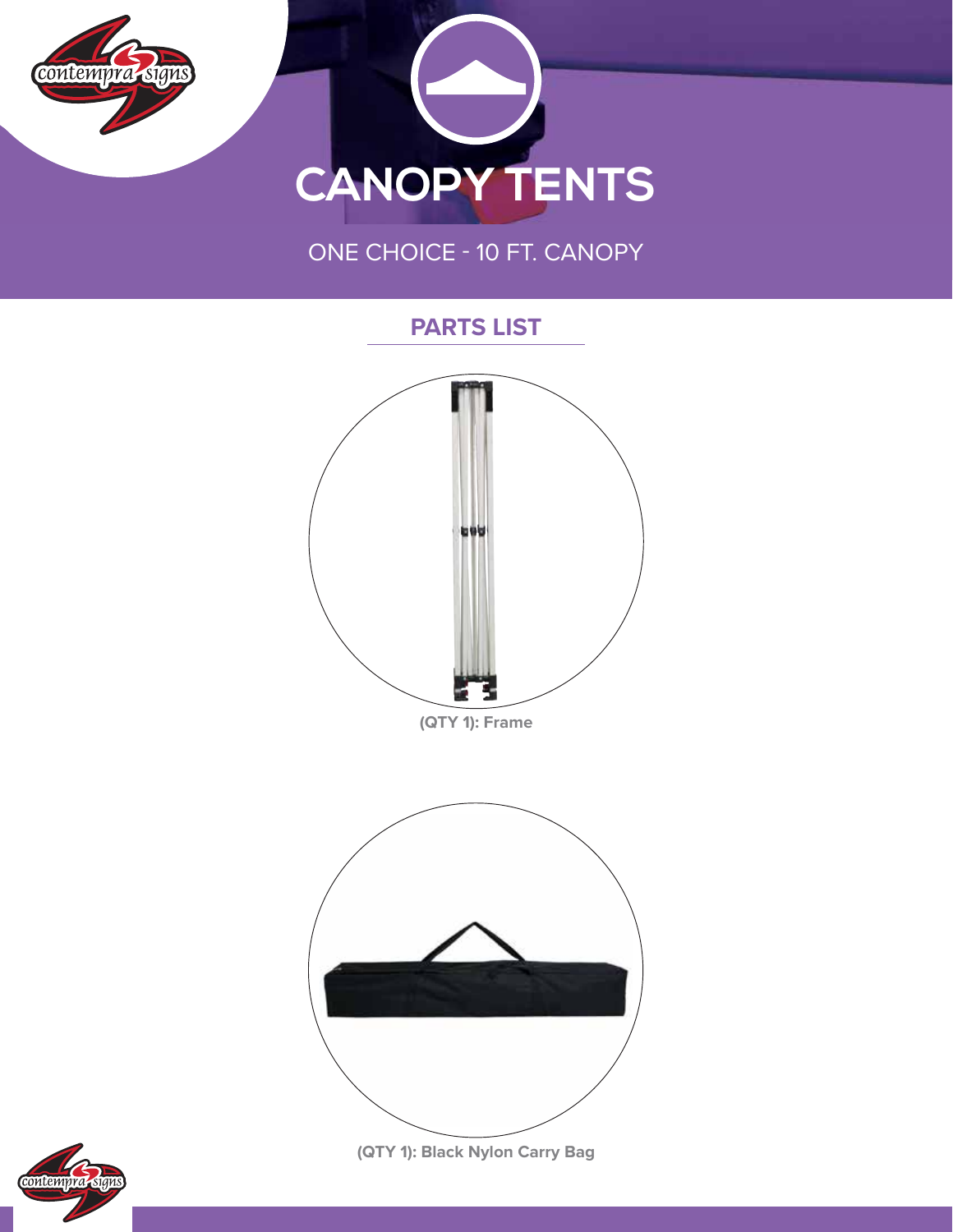

699 **(QTY 1): Frame (QTY 1): Black Nylon Carry Bag**

**PARTS LIST**